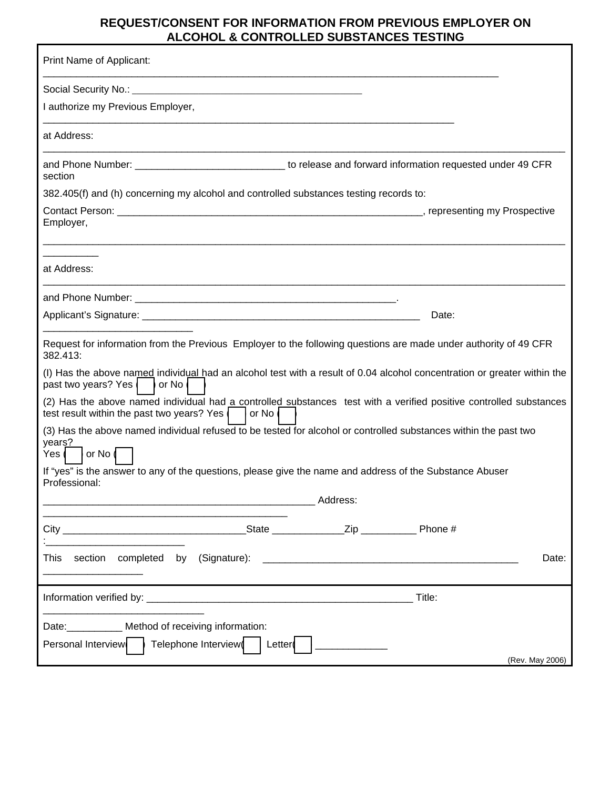## **REQUEST/CONSENT FOR INFORMATION FROM PREVIOUS EMPLOYER ON ALCOHOL & CONTROLLED SUBSTANCES TESTING**

| Print Name of Applicant:                                                                                                                                                                   |          |  |
|--------------------------------------------------------------------------------------------------------------------------------------------------------------------------------------------|----------|--|
|                                                                                                                                                                                            |          |  |
| I authorize my Previous Employer,                                                                                                                                                          |          |  |
| at Address:                                                                                                                                                                                |          |  |
| and Phone Number: _________________________________ to release and forward information requested under 49 CFR<br>section                                                                   |          |  |
| 382.405(f) and (h) concerning my alcohol and controlled substances testing records to:                                                                                                     |          |  |
| Employer,                                                                                                                                                                                  |          |  |
| at Address:                                                                                                                                                                                |          |  |
|                                                                                                                                                                                            |          |  |
|                                                                                                                                                                                            | Date:    |  |
| Request for information from the Previous Employer to the following questions are made under authority of 49 CFR<br>382.413:                                                               |          |  |
| (I) Has the above named individual had an alcohol test with a result of 0.04 alcohol concentration or greater within the<br>past two years? Yes   or No                                    |          |  |
| (2) Has the above named individual had a controlled substances test with a verified positive controlled substances<br>test result within the past two years? Yes $\vert \cdot \vert$ or No |          |  |
| (3) Has the above named individual refused to be tested for alcohol or controlled substances within the past two<br>years?<br>Yes (<br>or No (                                             |          |  |
| If "yes" is the answer to any of the questions, please give the name and address of the Substance Abuser<br>Professional:                                                                  |          |  |
|                                                                                                                                                                                            | Address: |  |
|                                                                                                                                                                                            |          |  |
| This<br>Date:                                                                                                                                                                              |          |  |
|                                                                                                                                                                                            | Title:   |  |
| Date: __________ Method of receiving information:<br>Telephone Interview(<br>Personal Interview<br>Letter<br>(Rev. May 2006)                                                               |          |  |